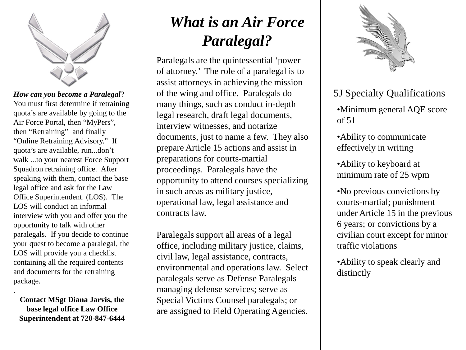

You must first determine if retraining quota's are available by going to the Air Force Portal, then "MyPers", then "Retraining" and finally "Online Retraining Advisory." If quota's are available, run...don't walk ...to your nearest Force Support Squadron retraining office. After speaking with them, contact the base legal office and ask for the Law Office Superintendent. (LOS). The LOS will conduct an informal interview with you and offer you the opportunity to talk with other paralegals. If you decide to continue your quest to become a paralegal, the LOS will provide you a checklist containing all the required contents and documents for the retraining package.

**Contact MSgt Diana Jarvis, the base legal office Law Office Superintendent at 720-847-6444**

.

## *What is an Air Force Paralegal?*

Paralegals are the quintessential 'power of attorney.' The role of a paralegal is to assist attorneys in achieving the mission How can you become a Paralegal? (a) interving and office. Paralegals do Tables 5J Specialty Qualifications many things, such as conduct in-depth legal research, draft legal documents, interview witnesses, and notarize documents, just to name a few. They also prepare Article 15 actions and assist in preparations for courts-martial proceedings. Paralegals have the opportunity to attend courses specializing in such areas as military justice, operational law, legal assistance and contracts law.

> Paralegals support all areas of a legal office, including military justice, claims, civil law, legal assistance, contracts, environmental and operations law. Select paralegals serve as Defense Paralegals managing defense services; serve as Special Victims Counsel paralegals; or are assigned to Field Operating Agencies.



•Minimum general AQE score of 51

•Ability to communicate effectively in writing

•Ability to keyboard at minimum rate of 25 wpm

•No previous convictions by courts-martial; punishment under Article 15 in the previous 6 years; or convictions by a civilian court except for minor traffic violations

•Ability to speak clearly and distinctly